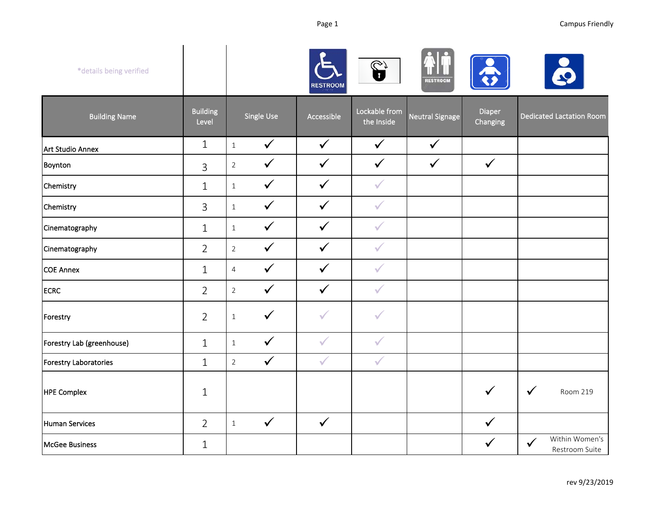| *details being verified   |                          |                |              | <b>RESTROOM</b> | $\mathbf{G}$                | <b>RESTROOM</b>        |                    |                                                  |
|---------------------------|--------------------------|----------------|--------------|-----------------|-----------------------------|------------------------|--------------------|--------------------------------------------------|
| <b>Building Name</b>      | <b>Building</b><br>Level |                | Single Use   | Accessible      | Lockable from<br>the Inside | <b>Neutral Signage</b> | Diaper<br>Changing | <b>Dedicated Lactation Room</b>                  |
| Art Studio Annex          | $\mathbf{1}$             | $\mathbf{1}$   | $\checkmark$ | $\checkmark$    | $\checkmark$                | $\checkmark$           |                    |                                                  |
| Boynton                   | 3                        | $\overline{2}$ | $\checkmark$ | $\checkmark$    | $\checkmark$                | $\checkmark$           | $\checkmark$       |                                                  |
| Chemistry                 | $\mathbf{1}$             | $1\,$          | $\checkmark$ | $\checkmark$    | $\checkmark$                |                        |                    |                                                  |
| Chemistry                 | 3                        | $\,1\,$        | $\checkmark$ | $\checkmark$    | $\checkmark$                |                        |                    |                                                  |
| Cinematography            | $\mathbf 1$              | $1\,$          | $\checkmark$ | $\checkmark$    | $\checkmark$                |                        |                    |                                                  |
| Cinematography            | $\overline{2}$           | $\overline{2}$ | $\checkmark$ | $\checkmark$    | $\checkmark$                |                        |                    |                                                  |
| <b>COE Annex</b>          | $\mathbf 1$              | $\overline{4}$ | $\checkmark$ | $\checkmark$    | $\checkmark$                |                        |                    |                                                  |
| <b>ECRC</b>               | $\overline{2}$           | $\overline{2}$ | $\checkmark$ | $\checkmark$    | $\checkmark$                |                        |                    |                                                  |
| Forestry                  | $\overline{2}$           | $\,1\,$        | $\checkmark$ | $\checkmark$    | $\checkmark$                |                        |                    |                                                  |
| Forestry Lab (greenhouse) | $\mathbf 1$              | $1\,$          | $\checkmark$ | $\checkmark$    | $\checkmark$                |                        |                    |                                                  |
| Forestry Laboratories     | $\mathbf{1}$             | $\overline{2}$ | $\checkmark$ | $\checkmark$    | $\checkmark$                |                        |                    |                                                  |
| <b>HPE Complex</b>        | $\mathbf 1$              |                |              |                 |                             |                        | $\checkmark$       | $\checkmark$<br>Room 219                         |
| <b>Human Services</b>     | $\overline{2}$           | $1\,$          | $\checkmark$ | $\checkmark$    |                             |                        | $\checkmark$       |                                                  |
| <b>McGee Business</b>     | $\mathbf{1}$             |                |              |                 |                             |                        | $\checkmark$       | Within Women's<br>$\checkmark$<br>Restroom Suite |